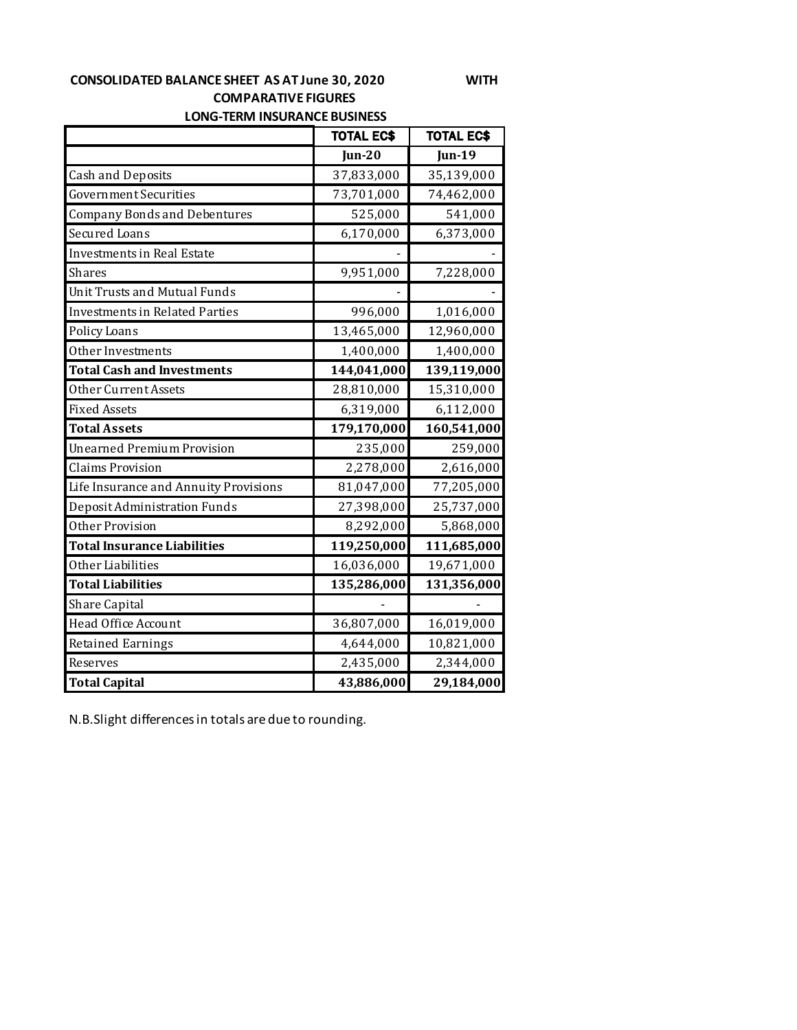#### **CONSOLIDATED BALANCE SHEET AS AT June 30, 2020 WITH COMPARATIVE FIGURES LONG-TERM INSURANCE BUSINESS**

TOTAL EC\$ | TOTAL EC\$ **Jun-20 Jun-19** Cash and Deposits 27,833,000 35,139,000 Government Securities 23,701,000 74,462,000 Company Bonds and Debentures **8** 525,000 **1 541,000** Secured Loans 6,170,000 6,373,000 Investments in Real Estate Shares 9,951,000 7,228,000 Unit Trusts and Mutual Funds Investments in Related Parties  $996,000$  1,016,000 Policy Loans 13,465,000 12,960,000 Other Investments 1,400,000 1,400,000 **Total Cash and Investments 144,041,000 139,119,000** Other Current Assets 28,810,000 15,310,000 Fixed Assets 6,319,000 6,112,000 **Total Assets 179,170,000 160,541,000** Unearned Premium Provision 235,000 259,000 Claims Provision 2,278,000 2,616,000 Life Insurance and Annuity Provisions 81,047,000 77,205,000 Deposit Administration Funds 27,398,000 25,737,000 Other Provision 8,292,000 5,868,000 **Total Insurance Liabilities 119,250,000 111,685,000** Other Liabilities 16,036,000 19,671,000 **Total Liabilities 135,286,000 131,356,000** Share Capital Head Office Account 36,807,000 16,019,000

Retained Earnings 10,821,000 10,821,000 Reserves 2,435,000 2,344,000 **Total Capital 13,886,000 29,184,000** 

N.B.Slight differences in totals are due to rounding.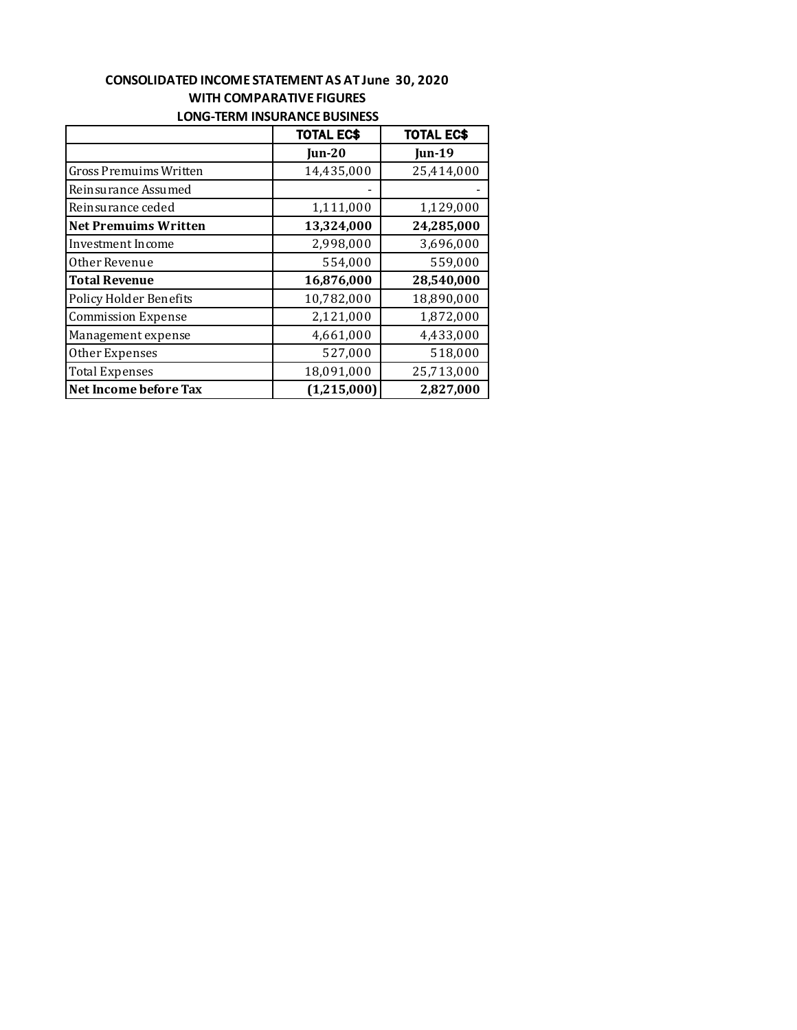## **CONSOLIDATED INCOME STATEMENT AS AT June 30, 2020 WITH COMPARATIVE FIGURES LONG-TERM INSURANCE BUSINESS**

|                               | <b>TOTAL EC\$</b> | <b>TOTAL EC\$</b> |
|-------------------------------|-------------------|-------------------|
|                               | $\mathbf{u}$ n-20 | <b>Jun-19</b>     |
| Gross Premuims Written        | 14,435,000        | 25,414,000        |
| Reinsurance Assumed           |                   |                   |
| Reinsurance ceded             | 1,111,000         | 1,129,000         |
| Net Premuims Written          | 13,324,000        | 24,285,000        |
| Investment Income             | 2,998,000         | 3,696,000         |
| Other Revenue                 | 554,000           | 559,000           |
| <b>Total Revenue</b>          | 16,876,000        | 28,540,000        |
| <b>Policy Holder Benefits</b> | 10,782,000        | 18,890,000        |
| <b>Commission Expense</b>     | 2,121,000         | 1,872,000         |
| Management expense            | 4,661,000         | 4,433,000         |
| Other Expenses                | 527,000           | 518,000           |
| <b>Total Expenses</b>         | 18,091,000        | 25,713,000        |
| Net Income before Tax         | (1,215,000)       | 2,827,000         |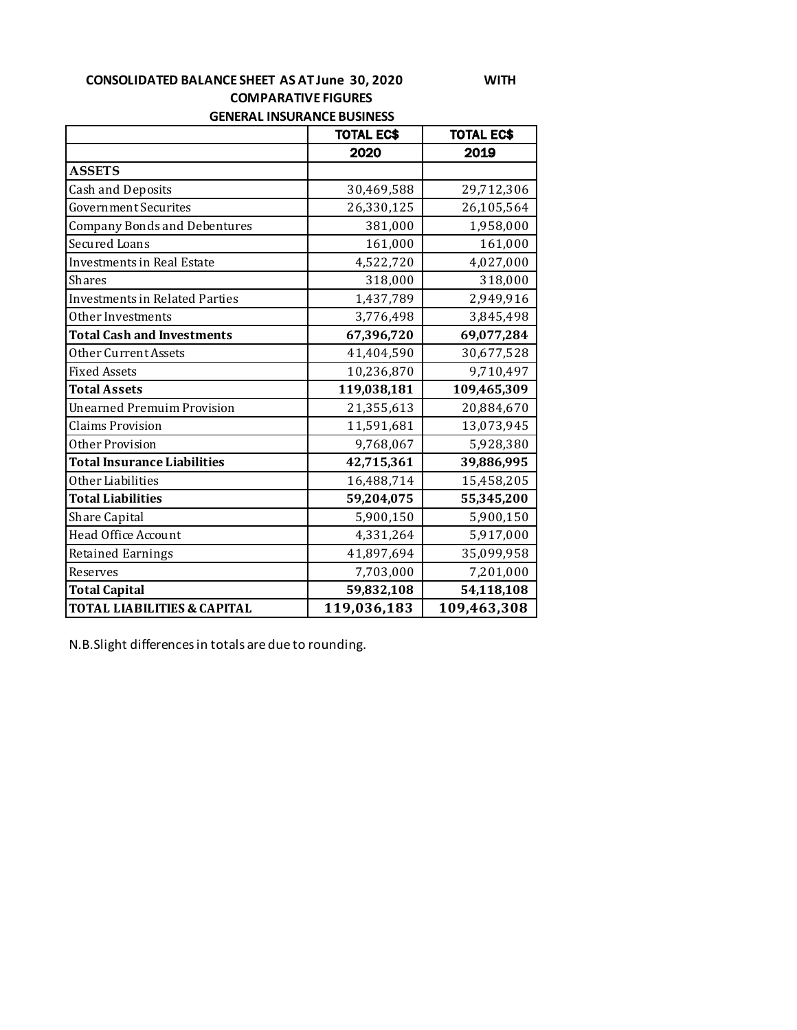### **CONSOLIDATED BALANCE SHEET AS AT June 30, 2020 WITH COMPARATIVE FIGURES GENERAL INSURANCE BUSINESS**

|                                        | <b>TOTAL EC\$</b> | <b>TOTAL EC\$</b> |
|----------------------------------------|-------------------|-------------------|
|                                        | 2020              | 2019              |
| <b>ASSETS</b>                          |                   |                   |
| <b>Cash and Deposits</b>               | 30,469,588        | 29,712,306        |
| <b>Government Securites</b>            | 26,330,125        | 26,105,564        |
| <b>Company Bonds and Debentures</b>    | 381,000           | 1,958,000         |
| <b>Secured Loans</b>                   | 161,000           | 161,000           |
| Investments in Real Estate             | 4,522,720         | 4,027,000         |
| <b>Shares</b>                          | 318,000           | 318,000           |
| <b>Investments in Related Parties</b>  | 1,437,789         | 2,949,916         |
| Other Investments                      | 3,776,498         | 3,845,498         |
| <b>Total Cash and Investments</b>      | 67,396,720        | 69,077,284        |
| Other Current Assets                   | 41,404,590        | 30,677,528        |
| <b>Fixed Assets</b>                    | 10,236,870        | 9,710,497         |
| <b>Total Assets</b>                    | 119,038,181       | 109,465,309       |
| <b>Unearned Premuim Provision</b>      | 21,355,613        | 20,884,670        |
| <b>Claims Provision</b>                | 11,591,681        | 13,073,945        |
| Other Provision                        | 9,768,067         | 5,928,380         |
| <b>Total Insurance Liabilities</b>     | 42,715,361        | 39,886,995        |
| Other Liabilities                      | 16,488,714        | 15,458,205        |
| <b>Total Liabilities</b>               | 59,204,075        | 55,345,200        |
| Share Capital                          | 5,900,150         | 5,900,150         |
| Head Office Account                    | 4,331,264         | 5,917,000         |
| <b>Retained Earnings</b>               | 41,897,694        | 35,099,958        |
| Reserves                               | 7,703,000         | 7,201,000         |
| <b>Total Capital</b>                   | 59,832,108        | 54,118,108        |
| <b>TOTAL LIABILITIES &amp; CAPITAL</b> | 119,036,183       | 109,463,308       |

N.B.Slight differences in totals are due to rounding.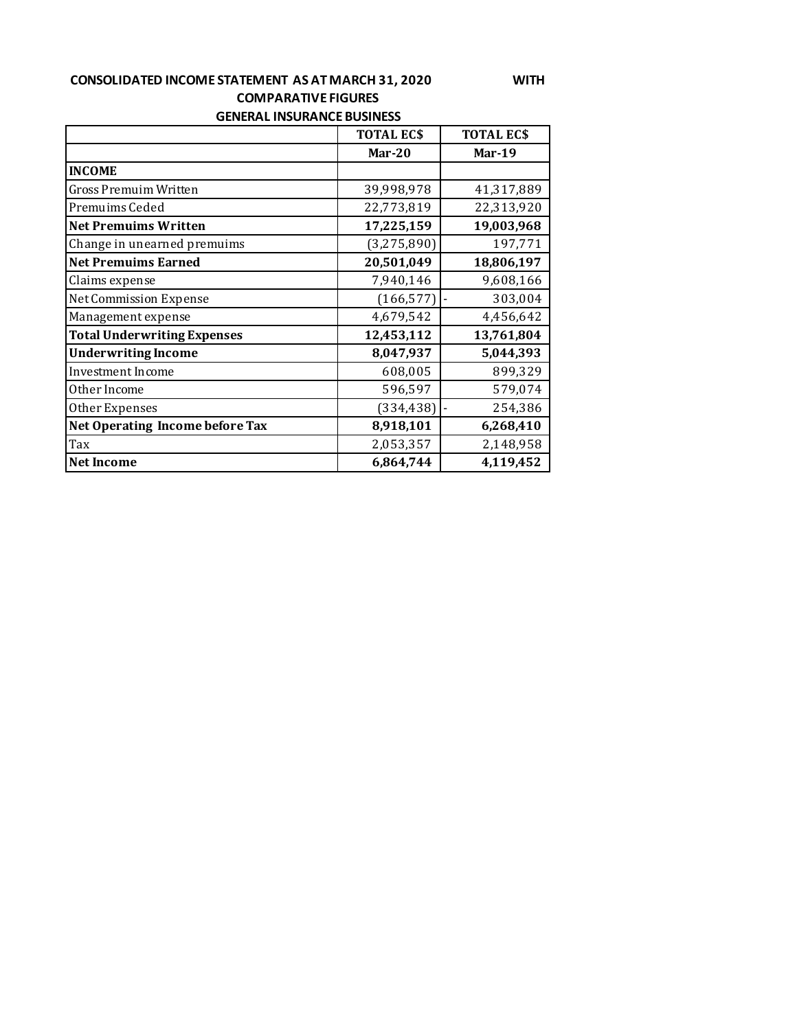## **CONSOLIDATED INCOME STATEMENT AS AT MARCH 31, 2020 WITH COMPARATIVE FIGURES GENERAL INSURANCE BUSINESS**

|                                    | <b>TOTAL ECS</b> | <b>TOTAL ECS</b> |  |  |
|------------------------------------|------------------|------------------|--|--|
|                                    | Mar- $20$        | Mar-19           |  |  |
| <b>INCOME</b>                      |                  |                  |  |  |
| <b>Gross Premuim Written</b>       | 39,998,978       | 41,317,889       |  |  |
| Premuims Ceded                     | 22,773,819       | 22,313,920       |  |  |
| <b>Net Premuims Written</b>        | 17,225,159       | 19,003,968       |  |  |
| Change in unearned premuims        | (3, 275, 890)    | 197,771          |  |  |
| <b>Net Premuims Earned</b>         | 20,501,049       | 18,806,197       |  |  |
| Claims expense                     | 7,940,146        | 9,608,166        |  |  |
| Net Commission Expense             | (166, 577)       | 303,004          |  |  |
| Management expense                 | 4,679,542        | 4,456,642        |  |  |
| <b>Total Underwriting Expenses</b> | 12,453,112       | 13,761,804       |  |  |
| <b>Underwriting Income</b>         | 8,047,937        | 5,044,393        |  |  |
| Investment Income                  | 608,005          | 899,329          |  |  |
| Other Income                       | 596,597          | 579,074          |  |  |
| Other Expenses                     | (334, 438)       | 254,386          |  |  |
| Net Operating Income before Tax    | 8,918,101        | 6,268,410        |  |  |
| Tax                                | 2,053,357        | 2,148,958        |  |  |
| <b>Net Income</b>                  | 6,864,744        | 4,119,452        |  |  |